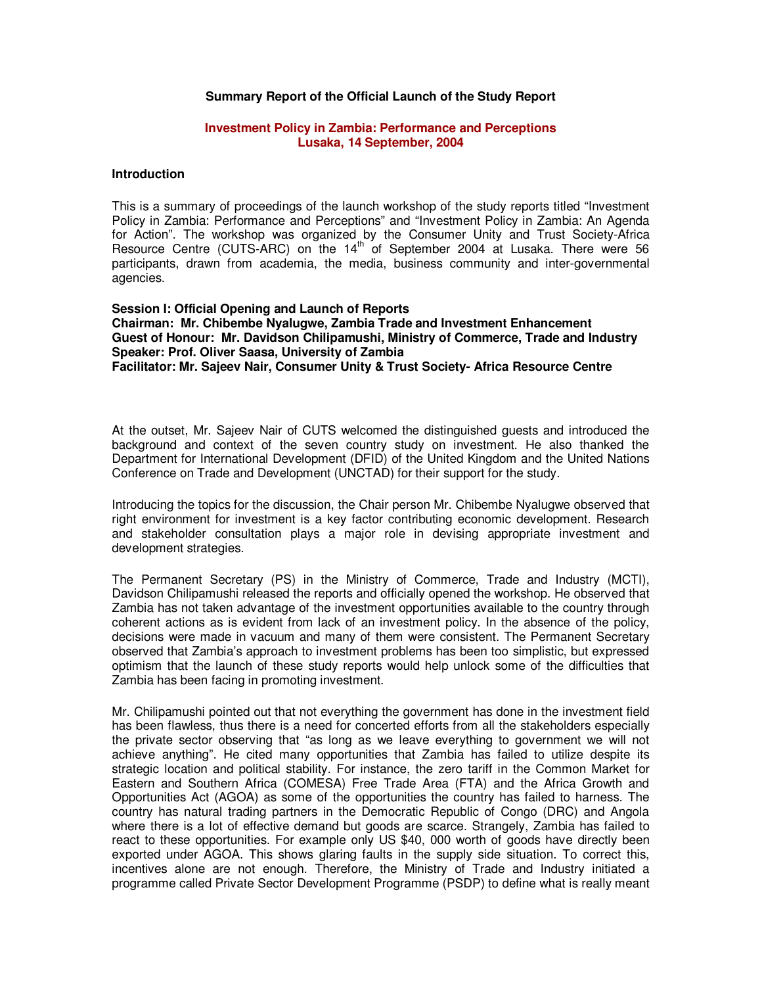## **Summary Report of the Official Launch of the Study Report**

#### **Investment Policy in Zambia: Performance and Perceptions Lusaka, 14 September, 2004**

#### **Introduction**

This is a summary of proceedings of the launch workshop of the study reports titled "Investment Policy in Zambia: Performance and Perceptions" and "Investment Policy in Zambia: An Agenda for Action". The workshop was organized by the Consumer Unity and Trust Society-Africa Resource Centre (CUTS-ARC) on the  $14<sup>th</sup>$  of September 2004 at Lusaka. There were 56 participants, drawn from academia, the media, business community and inter-governmental agencies.

**Session I: Official Opening and Launch of Reports Chairman: Mr. Chibembe Nyalugwe, Zambia Trade and Investment Enhancement Guest of Honour: Mr. Davidson Chilipamushi, Ministry of Commerce, Trade and Industry Speaker: Prof. Oliver Saasa, University of Zambia Facilitator: Mr. Sajeev Nair, Consumer Unity & Trust Society- Africa Resource Centre** 

At the outset, Mr. Sajeev Nair of CUTS welcomed the distinguished guests and introduced the background and context of the seven country study on investment. He also thanked the Department for International Development (DFID) of the United Kingdom and the United Nations Conference on Trade and Development (UNCTAD) for their support for the study.

Introducing the topics for the discussion, the Chair person Mr. Chibembe Nyalugwe observed that right environment for investment is a key factor contributing economic development. Research and stakeholder consultation plays a major role in devising appropriate investment and development strategies.

The Permanent Secretary (PS) in the Ministry of Commerce, Trade and Industry (MCTI), Davidson Chilipamushi released the reports and officially opened the workshop. He observed that Zambia has not taken advantage of the investment opportunities available to the country through coherent actions as is evident from lack of an investment policy. In the absence of the policy, decisions were made in vacuum and many of them were consistent. The Permanent Secretary observed that Zambia's approach to investment problems has been too simplistic, but expressed optimism that the launch of these study reports would help unlock some of the difficulties that Zambia has been facing in promoting investment.

Mr. Chilipamushi pointed out that not everything the government has done in the investment field has been flawless, thus there is a need for concerted efforts from all the stakeholders especially the private sector observing that "as long as we leave everything to government we will not achieve anything". He cited many opportunities that Zambia has failed to utilize despite its strategic location and political stability. For instance, the zero tariff in the Common Market for Eastern and Southern Africa (COMESA) Free Trade Area (FTA) and the Africa Growth and Opportunities Act (AGOA) as some of the opportunities the country has failed to harness. The country has natural trading partners in the Democratic Republic of Congo (DRC) and Angola where there is a lot of effective demand but goods are scarce. Strangely, Zambia has failed to react to these opportunities. For example only US \$40, 000 worth of goods have directly been exported under AGOA. This shows glaring faults in the supply side situation. To correct this, incentives alone are not enough. Therefore, the Ministry of Trade and Industry initiated a programme called Private Sector Development Programme (PSDP) to define what is really meant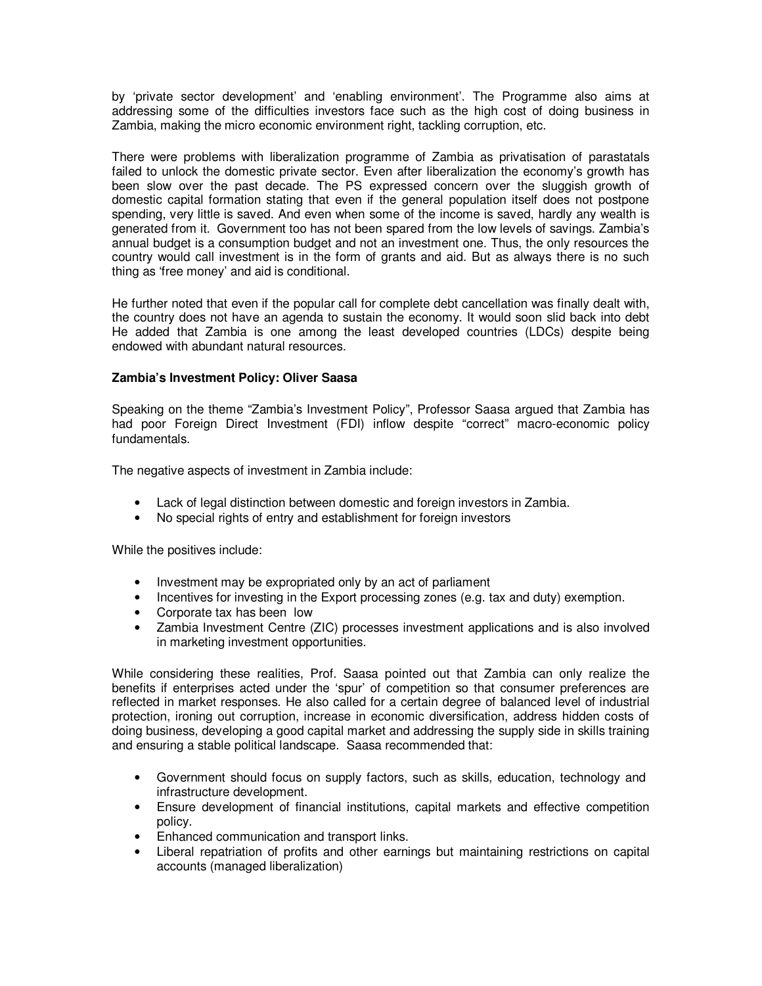by 'private sector development' and 'enabling environment'. The Programme also aims at addressing some of the difficulties investors face such as the high cost of doing business in Zambia, making the micro economic environment right, tackling corruption, etc.

There were problems with liberalization programme of Zambia as privatisation of parastatals failed to unlock the domestic private sector. Even after liberalization the economy's growth has been slow over the past decade. The PS expressed concern over the sluggish growth of domestic capital formation stating that even if the general population itself does not postpone spending, very little is saved. And even when some of the income is saved, hardly any wealth is generated from it. Government too has not been spared from the low levels of savings. Zambia's annual budget is a consumption budget and not an investment one. Thus, the only resources the country would call investment is in the form of grants and aid. But as always there is no such thing as 'free money' and aid is conditional.

He further noted that even if the popular call for complete debt cancellation was finally dealt with, the country does not have an agenda to sustain the economy. It would soon slid back into debt He added that Zambia is one among the least developed countries (LDCs) despite being endowed with abundant natural resources.

# **Zambia's Investment Policy: Oliver Saasa**

Speaking on the theme "Zambia's Investment Policy", Professor Saasa argued that Zambia has had poor Foreign Direct Investment (FDI) inflow despite "correct" macro-economic policy fundamentals.

The negative aspects of investment in Zambia include:

- Lack of legal distinction between domestic and foreign investors in Zambia.
- No special rights of entry and establishment for foreign investors

While the positives include:

- Investment may be expropriated only by an act of parliament
- Incentives for investing in the Export processing zones (e.g. tax and duty) exemption.
- Corporate tax has been low
- Zambia Investment Centre (ZIC) processes investment applications and is also involved in marketing investment opportunities.

While considering these realities, Prof. Saasa pointed out that Zambia can only realize the benefits if enterprises acted under the 'spur' of competition so that consumer preferences are reflected in market responses. He also called for a certain degree of balanced level of industrial protection, ironing out corruption, increase in economic diversification, address hidden costs of doing business, developing a good capital market and addressing the supply side in skills training and ensuring a stable political landscape. Saasa recommended that:

- Government should focus on supply factors, such as skills, education, technology and infrastructure development.
- Ensure development of financial institutions, capital markets and effective competition policy.
- Enhanced communication and transport links.
- Liberal repatriation of profits and other earnings but maintaining restrictions on capital accounts (managed liberalization)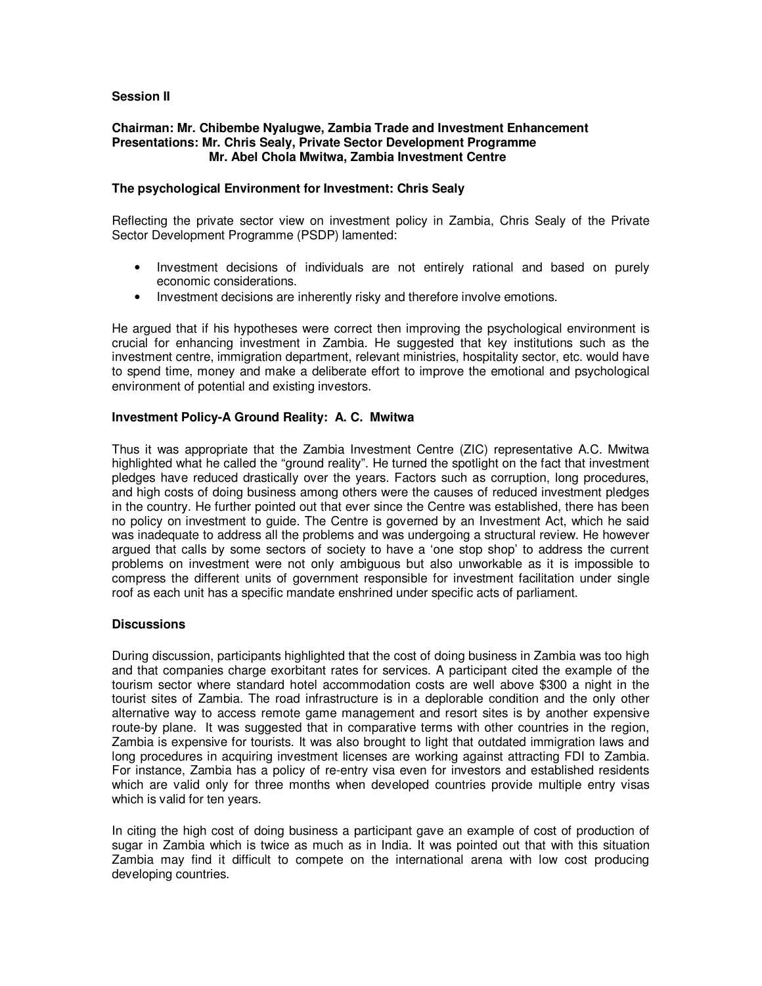# **Session II**

### **Chairman: Mr. Chibembe Nyalugwe, Zambia Trade and Investment Enhancement Presentations: Mr. Chris Sealy, Private Sector Development Programme Mr. Abel Chola Mwitwa, Zambia Investment Centre**

## **The psychological Environment for Investment: Chris Sealy**

Reflecting the private sector view on investment policy in Zambia, Chris Sealy of the Private Sector Development Programme (PSDP) lamented:

- Investment decisions of individuals are not entirely rational and based on purely economic considerations.
- Investment decisions are inherently risky and therefore involve emotions.

He argued that if his hypotheses were correct then improving the psychological environment is crucial for enhancing investment in Zambia. He suggested that key institutions such as the investment centre, immigration department, relevant ministries, hospitality sector, etc. would have to spend time, money and make a deliberate effort to improve the emotional and psychological environment of potential and existing investors.

# **Investment Policy-A Ground Reality: A. C. Mwitwa**

Thus it was appropriate that the Zambia Investment Centre (ZIC) representative A.C. Mwitwa highlighted what he called the "ground reality". He turned the spotlight on the fact that investment pledges have reduced drastically over the years. Factors such as corruption, long procedures, and high costs of doing business among others were the causes of reduced investment pledges in the country. He further pointed out that ever since the Centre was established, there has been no policy on investment to guide. The Centre is governed by an Investment Act, which he said was inadequate to address all the problems and was undergoing a structural review. He however argued that calls by some sectors of society to have a 'one stop shop' to address the current problems on investment were not only ambiguous but also unworkable as it is impossible to compress the different units of government responsible for investment facilitation under single roof as each unit has a specific mandate enshrined under specific acts of parliament.

### **Discussions**

During discussion, participants highlighted that the cost of doing business in Zambia was too high and that companies charge exorbitant rates for services. A participant cited the example of the tourism sector where standard hotel accommodation costs are well above \$300 a night in the tourist sites of Zambia. The road infrastructure is in a deplorable condition and the only other alternative way to access remote game management and resort sites is by another expensive route-by plane. It was suggested that in comparative terms with other countries in the region, Zambia is expensive for tourists. It was also brought to light that outdated immigration laws and long procedures in acquiring investment licenses are working against attracting FDI to Zambia. For instance, Zambia has a policy of re-entry visa even for investors and established residents which are valid only for three months when developed countries provide multiple entry visas which is valid for ten years.

In citing the high cost of doing business a participant gave an example of cost of production of sugar in Zambia which is twice as much as in India. It was pointed out that with this situation Zambia may find it difficult to compete on the international arena with low cost producing developing countries.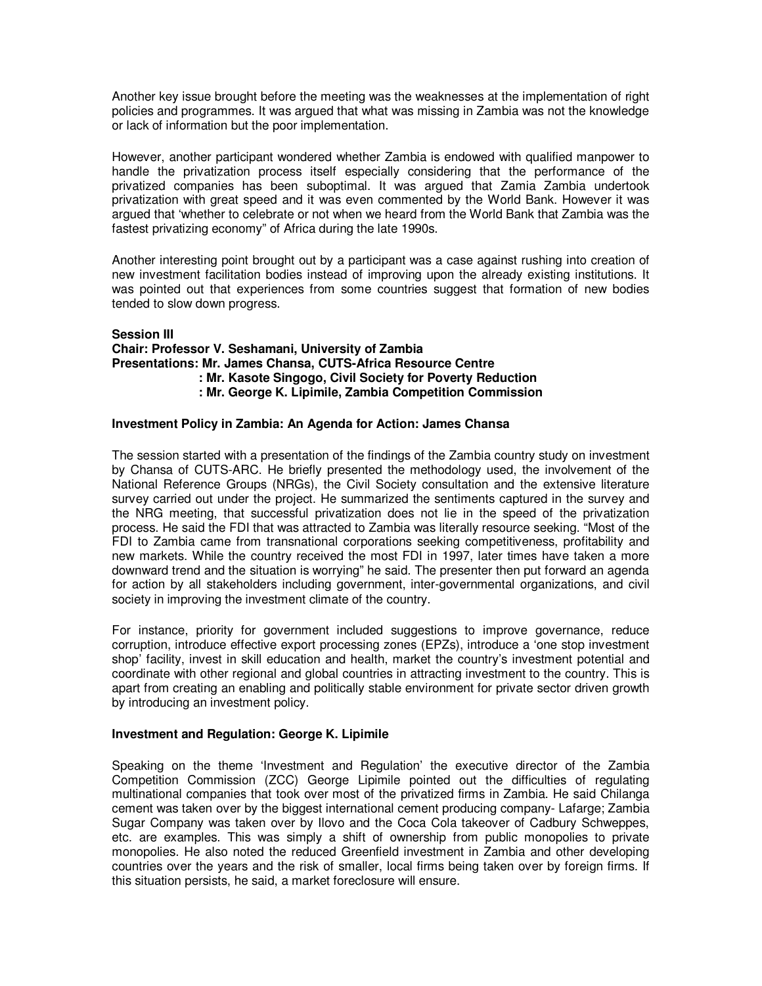Another key issue brought before the meeting was the weaknesses at the implementation of right policies and programmes. It was argued that what was missing in Zambia was not the knowledge or lack of information but the poor implementation.

However, another participant wondered whether Zambia is endowed with qualified manpower to handle the privatization process itself especially considering that the performance of the privatized companies has been suboptimal. It was argued that Zamia Zambia undertook privatization with great speed and it was even commented by the World Bank. However it was argued that 'whether to celebrate or not when we heard from the World Bank that Zambia was the fastest privatizing economy" of Africa during the late 1990s.

Another interesting point brought out by a participant was a case against rushing into creation of new investment facilitation bodies instead of improving upon the already existing institutions. It was pointed out that experiences from some countries suggest that formation of new bodies tended to slow down progress.

**Session III Chair: Professor V. Seshamani, University of Zambia Presentations: Mr. James Chansa, CUTS-Africa Resource Centre : Mr. Kasote Singogo, Civil Society for Poverty Reduction : Mr. George K. Lipimile, Zambia Competition Commission** 

### **Investment Policy in Zambia: An Agenda for Action: James Chansa**

The session started with a presentation of the findings of the Zambia country study on investment by Chansa of CUTS-ARC. He briefly presented the methodology used, the involvement of the National Reference Groups (NRGs), the Civil Society consultation and the extensive literature survey carried out under the project. He summarized the sentiments captured in the survey and the NRG meeting, that successful privatization does not lie in the speed of the privatization process. He said the FDI that was attracted to Zambia was literally resource seeking. "Most of the FDI to Zambia came from transnational corporations seeking competitiveness, profitability and new markets. While the country received the most FDI in 1997, later times have taken a more downward trend and the situation is worrying" he said. The presenter then put forward an agenda for action by all stakeholders including government, inter-governmental organizations, and civil society in improving the investment climate of the country.

For instance, priority for government included suggestions to improve governance, reduce corruption, introduce effective export processing zones (EPZs), introduce a 'one stop investment shop' facility, invest in skill education and health, market the country's investment potential and coordinate with other regional and global countries in attracting investment to the country. This is apart from creating an enabling and politically stable environment for private sector driven growth by introducing an investment policy.

# **Investment and Regulation: George K. Lipimile**

Speaking on the theme 'Investment and Regulation' the executive director of the Zambia Competition Commission (ZCC) George Lipimile pointed out the difficulties of regulating multinational companies that took over most of the privatized firms in Zambia. He said Chilanga cement was taken over by the biggest international cement producing company- Lafarge; Zambia Sugar Company was taken over by Ilovo and the Coca Cola takeover of Cadbury Schweppes, etc. are examples. This was simply a shift of ownership from public monopolies to private monopolies. He also noted the reduced Greenfield investment in Zambia and other developing countries over the years and the risk of smaller, local firms being taken over by foreign firms. If this situation persists, he said, a market foreclosure will ensure.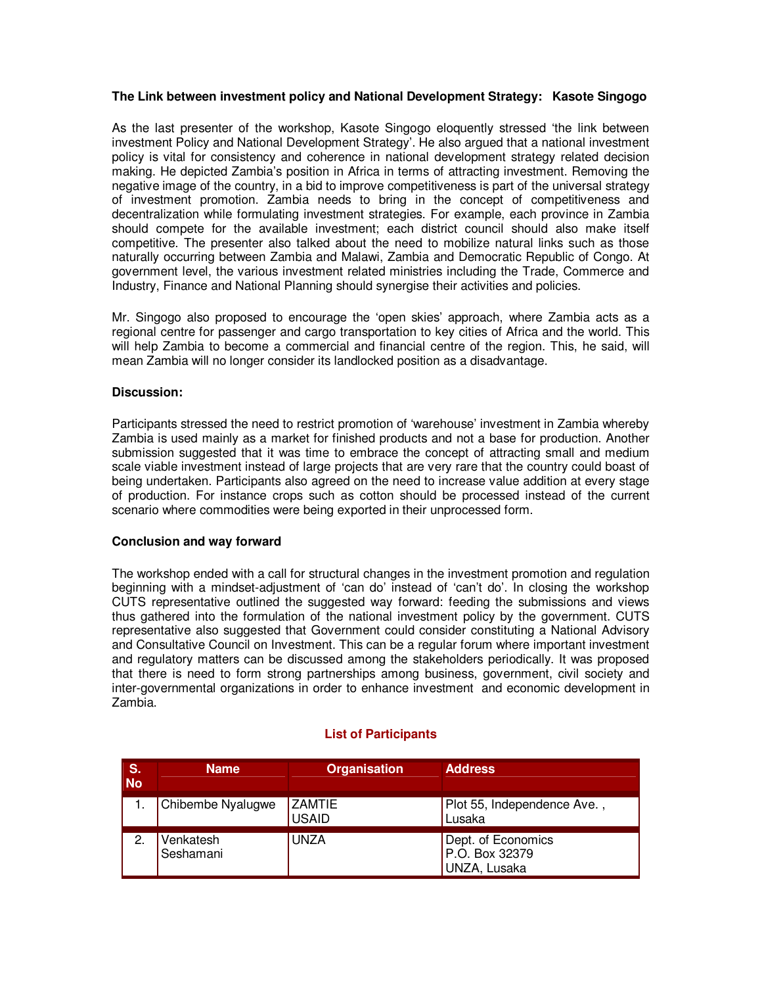# **The Link between investment policy and National Development Strategy: Kasote Singogo**

As the last presenter of the workshop, Kasote Singogo eloquently stressed 'the link between investment Policy and National Development Strategy'. He also argued that a national investment policy is vital for consistency and coherence in national development strategy related decision making. He depicted Zambia's position in Africa in terms of attracting investment. Removing the negative image of the country, in a bid to improve competitiveness is part of the universal strategy of investment promotion. Zambia needs to bring in the concept of competitiveness and decentralization while formulating investment strategies. For example, each province in Zambia should compete for the available investment; each district council should also make itself competitive. The presenter also talked about the need to mobilize natural links such as those naturally occurring between Zambia and Malawi, Zambia and Democratic Republic of Congo. At government level, the various investment related ministries including the Trade, Commerce and Industry, Finance and National Planning should synergise their activities and policies.

Mr. Singogo also proposed to encourage the 'open skies' approach, where Zambia acts as a regional centre for passenger and cargo transportation to key cities of Africa and the world. This will help Zambia to become a commercial and financial centre of the region. This, he said, will mean Zambia will no longer consider its landlocked position as a disadvantage.

### **Discussion:**

Participants stressed the need to restrict promotion of 'warehouse' investment in Zambia whereby Zambia is used mainly as a market for finished products and not a base for production. Another submission suggested that it was time to embrace the concept of attracting small and medium scale viable investment instead of large projects that are very rare that the country could boast of being undertaken. Participants also agreed on the need to increase value addition at every stage of production. For instance crops such as cotton should be processed instead of the current scenario where commodities were being exported in their unprocessed form.

### **Conclusion and way forward**

The workshop ended with a call for structural changes in the investment promotion and regulation beginning with a mindset-adjustment of 'can do' instead of 'can't do'. In closing the workshop CUTS representative outlined the suggested way forward: feeding the submissions and views thus gathered into the formulation of the national investment policy by the government. CUTS representative also suggested that Government could consider constituting a National Advisory and Consultative Council on Investment. This can be a regular forum where important investment and regulatory matters can be discussed among the stakeholders periodically. It was proposed that there is need to form strong partnerships among business, government, civil society and inter-governmental organizations in order to enhance investment and economic development in Zambia.

| $\mathsf{S}$ .<br><b>No</b> | <b>Name</b>            | <b>Organisation</b>           | <b>Address</b>                                       |
|-----------------------------|------------------------|-------------------------------|------------------------------------------------------|
|                             | Chibembe Nyalugwe      | <b>ZAMTIE</b><br><b>USAID</b> | Plot 55, Independence Ave.,<br>Lusaka                |
| 2.                          | Venkatesh<br>Seshamani | <b>UNZA</b>                   | Dept. of Economics<br>P.O. Box 32379<br>UNZA, Lusaka |

### **List of Participants**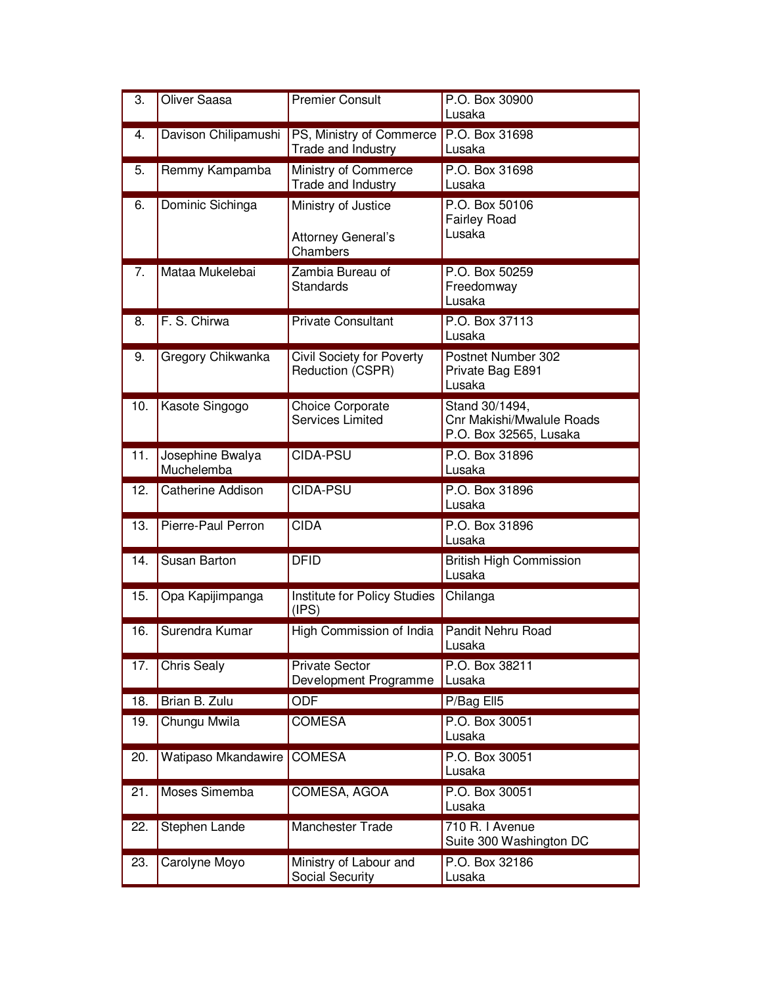| 3.  | <b>Oliver Saasa</b>            | <b>Premier Consult</b>                                       | P.O. Box 30900<br>Lusaka                                              |
|-----|--------------------------------|--------------------------------------------------------------|-----------------------------------------------------------------------|
| 4.  | Davison Chilipamushi           | PS, Ministry of Commerce<br>Trade and Industry               | P.O. Box 31698<br>Lusaka                                              |
| 5.  | Remmy Kampamba                 | Ministry of Commerce<br>Trade and Industry                   | P.O. Box 31698<br>Lusaka                                              |
| 6.  | Dominic Sichinga               | Ministry of Justice<br><b>Attorney General's</b><br>Chambers | P.O. Box 50106<br><b>Fairley Road</b><br>Lusaka                       |
| 7.  | Mataa Mukelebai                | Zambia Bureau of<br><b>Standards</b>                         | P.O. Box 50259<br>Freedomway<br>Lusaka                                |
| 8.  | F. S. Chirwa                   | <b>Private Consultant</b>                                    | P.O. Box 37113<br>Lusaka                                              |
| 9.  | Gregory Chikwanka              | <b>Civil Society for Poverty</b><br>Reduction (CSPR)         | Postnet Number 302<br>Private Bag E891<br>Lusaka                      |
| 10. | Kasote Singogo                 | Choice Corporate<br><b>Services Limited</b>                  | Stand 30/1494,<br>Cnr Makishi/Mwalule Roads<br>P.O. Box 32565, Lusaka |
| 11. | Josephine Bwalya<br>Muchelemba | CIDA-PSU                                                     | P.O. Box 31896<br>Lusaka                                              |
| 12. | <b>Catherine Addison</b>       | CIDA-PSU                                                     | P.O. Box 31896<br>Lusaka                                              |
| 13. | Pierre-Paul Perron             | <b>CIDA</b>                                                  | P.O. Box 31896<br>Lusaka                                              |
| 14. | Susan Barton                   | <b>DFID</b>                                                  | <b>British High Commission</b><br>Lusaka                              |
| 15. | Opa Kapijimpanga               | Institute for Policy Studies<br>(IPS)                        | Chilanga                                                              |
| 16. | Surendra Kumar                 | High Commission of India                                     | Pandit Nehru Road<br>Lusaka                                           |
| 17. | <b>Chris Sealy</b>             | <b>Private Sector</b><br>Development Programme               | P.O. Box 38211<br>Lusaka                                              |
| 18. | Brian B. Zulu                  | <b>ODF</b>                                                   | P/Bag Ell5                                                            |
| 19. | Chungu Mwila                   | <b>COMESA</b>                                                | P.O. Box 30051<br>Lusaka                                              |
| 20. | Watipaso Mkandawire            | <b>COMESA</b>                                                | P.O. Box 30051<br>Lusaka                                              |
| 21. | Moses Simemba                  | COMESA, AGOA                                                 | P.O. Box 30051<br>Lusaka                                              |
| 22. | Stephen Lande                  | <b>Manchester Trade</b>                                      | 710 R. I Avenue<br>Suite 300 Washington DC                            |
| 23. | Carolyne Moyo                  | Ministry of Labour and<br>Social Security                    | P.O. Box 32186<br>Lusaka                                              |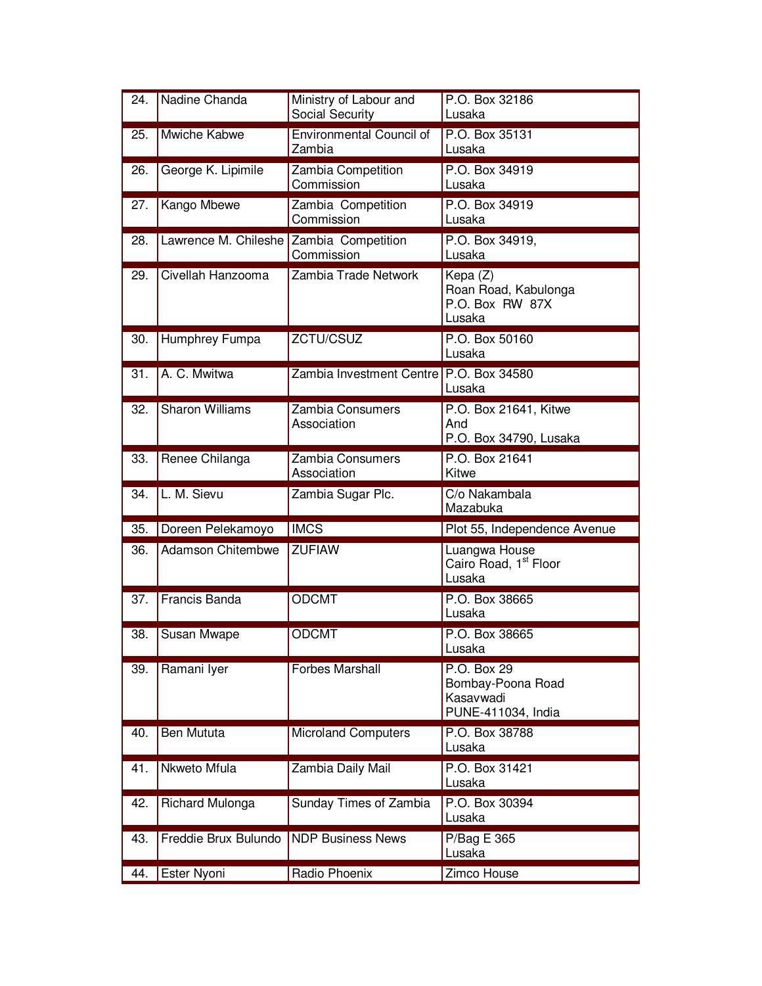| 24. | Nadine Chanda                           | Ministry of Labour and<br>Social Security | P.O. Box 32186<br>Lusaka                                            |
|-----|-----------------------------------------|-------------------------------------------|---------------------------------------------------------------------|
| 25. | Mwiche Kabwe                            | <b>Environmental Council of</b><br>Zambia | P.O. Box 35131<br>Lusaka                                            |
| 26. | George K. Lipimile                      | Zambia Competition<br>Commission          | P.O. Box 34919<br>Lusaka                                            |
| 27. | Kango Mbewe                             | Zambia Competition<br>Commission          | P.O. Box 34919<br>Lusaka                                            |
| 28. | Lawrence M. Chileshe Zambia Competition | Commission                                | P.O. Box 34919,<br>Lusaka                                           |
| 29. | Civellah Hanzooma                       | Zambia Trade Network                      | Kepa (Z)<br>Roan Road, Kabulonga<br>P.O. Box RW 87X<br>Lusaka       |
| 30. | Humphrey Fumpa                          | ZCTU/CSUZ                                 | P.O. Box 50160<br>Lusaka                                            |
| 31. | A. C. Mwitwa                            | Zambia Investment Centre   P.O. Box 34580 | Lusaka                                                              |
| 32. | <b>Sharon Williams</b>                  | Zambia Consumers<br>Association           | P.O. Box 21641, Kitwe<br>And<br>P.O. Box 34790, Lusaka              |
| 33. | Renee Chilanga                          | Zambia Consumers<br>Association           | P.O. Box 21641<br>Kitwe                                             |
|     |                                         |                                           |                                                                     |
| 34. | L. M. Sievu                             | Zambia Sugar Plc.                         | C/o Nakambala<br>Mazabuka                                           |
| 35. | Doreen Pelekamoyo                       | <b>IMCS</b>                               | Plot 55, Independence Avenue                                        |
| 36. | <b>Adamson Chitembwe</b>                | <b>ZUFIAW</b>                             | Luangwa House<br>Cairo Road, 1 <sup>st</sup> Floor<br>Lusaka        |
| 37. | <b>Francis Banda</b>                    | <b>ODCMT</b>                              | P.O. Box 38665<br>Lusaka                                            |
| 38. | Susan Mwape                             | <b>ODCMT</b>                              | P.O. Box 38665<br>Lusaka                                            |
| 39. | Ramani Iyer                             | <b>Forbes Marshall</b>                    | P.O. Box 29<br>Bombay-Poona Road<br>Kasavwadi<br>PUNE-411034, India |
| 40. | Ben Mututa                              | <b>Microland Computers</b>                | P.O. Box 38788<br>Lusaka                                            |
| 41. | Nkweto Mfula                            | Zambia Daily Mail                         | P.O. Box 31421<br>Lusaka                                            |
| 42. | <b>Richard Mulonga</b>                  | Sunday Times of Zambia                    | P.O. Box 30394<br>Lusaka                                            |
| 43. | Freddie Brux Bulundo                    | <b>NDP Business News</b>                  | P/Bag E 365<br>Lusaka                                               |